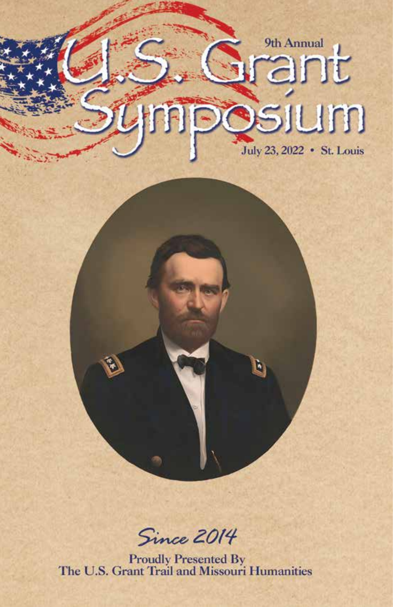# um July 23, 2022 • St. Louis

9th Annual

Since 2014

**Proudly Presented By<br>The U.S. Grant Trail and Missouri Humanities**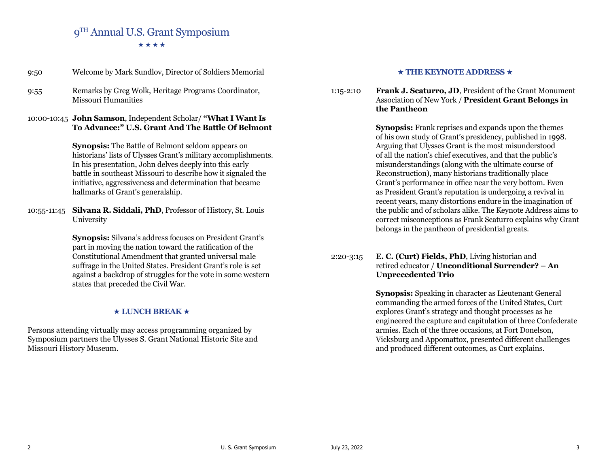## 9TH Annual U.S. Grant Symposium \*\*\*\*

| 9:50 | Welcome by Mark Sundlov, Director of Soldiers Memorial                      |
|------|-----------------------------------------------------------------------------|
| 9:55 | Remarks by Greg Wolk, Heritage Programs Coordinator,<br>Missouri Humanities |

### 10:00-10:45 **John Samson**, Independent Scholar/ **"What I Want Is To Advance:" U.S. Grant And The Battle Of Belmont**

**Synopsis:** The Battle of Belmont seldom appears on historians' lists of Ulysses Grant's military accomplishments. In his presentation, John delves deeply into this early battle in southeast Missouri to describe how it signaled the initiative, aggressiveness and determination that became hallmarks of Grant's generalship.

10:55-11:45 **Silvana R. Siddali, PhD**, Professor of History, St. Louis University

> **Synopsis:** Silvana's address focuses on President Grant's part in moving the nation toward the ratification of the Constitutional Amendment that granted universal male suffrage in the United States. President Grant's role is set against a backdrop of struggles for the vote in some western states that preceded the Civil War.

#### $\star$  LUNCH BREAK  $\star$

Persons attending virtually may access programming organized by Symposium partners the Ulysses S. Grant National Historic Site and Missouri History Museum.

#### $\star$  THE KEYNOTE ADDRESS  $\star$

1:15-2:10 **Frank J. Scaturro, JD**, President of the Grant Monument Association of New York / **President Grant Belongs in the Pantheon**

> **Synopsis:** Frank reprises and expands upon the themes of his own study of Grant's presidency, published in 1998. Arguing that Ulysses Grant is the most misunderstood of all the nation's chief executives, and that the public's misunderstandings (along with the ultimate course of Reconstruction), many historians traditionally place Grant's performance in office near the very bottom. Even as President Grant's reputation is undergoing a revival in recent years, many distortions endure in the imagination of the public and of scholars alike. The Keynote Address aims to correct misconceptions as Frank Scaturro explains why Grant belongs in the pantheon of presidential greats.

### 2:20-3:15 **E. C. (Curt) Fields, PhD**, Living historian and retired educator / **Unconditional Surrender? – An Unprecedented Trio**

**Synopsis:** Speaking in character as Lieutenant General commanding the armed forces of the United States, Curt explores Grant's strategy and thought processes as he engineered the capture and capitulation of three Confederate armies. Each of the three occasions, at Fort Donelson, Vicksburg and Appomattox, presented different challenges and produced different outcomes, as Curt explains.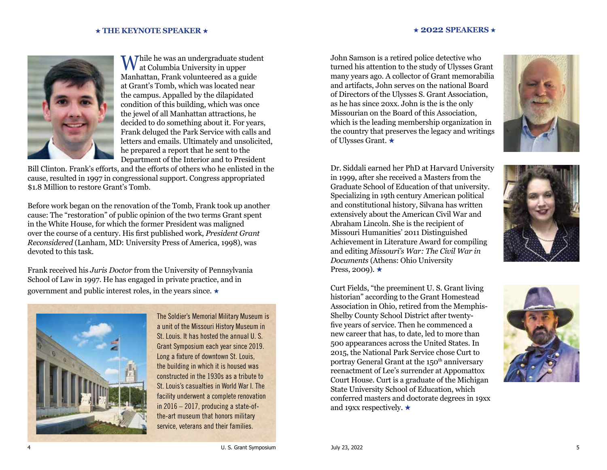#### $\star$  2022 **SPEAKERS**  $\star$



While he was an undergraduate student at Columbia University in upper Manhattan, Frank volunteered as a guide at Grant's Tomb, which was located near the campus. Appalled by the dilapidated condition of this building, which was once the jewel of all Manhattan attractions, he decided to do something about it. For years, Frank deluged the Park Service with calls and letters and emails. Ultimately and unsolicited, he prepared a report that he sent to the Department of the Interior and to President

Bill Clinton. Frank's efforts, and the efforts of others who he enlisted in the cause, resulted in 1997 in congressional support. Congress appropriated \$1.8 Million to restore Grant's Tomb.

Before work began on the renovation of the Tomb, Frank took up another cause: The "restoration" of public opinion of the two terms Grant spent in the White House, for which the former President was maligned over the course of a century. His first published work, *President Grant Reconsidered* (Lanham, MD: University Press of America, 1998), was devoted to this task.

Frank received his *Juris Doctor* from the University of Pennsylvania School of Law in 1997. He has engaged in private practice, and in government and public interest roles, in the years since.  $\star$ 



The Soldier's Memorial Military Museum is a unit of the Missouri History Museum in St. Louis. It has hosted the annual U. S. Grant Symposium each year since 2019. Long a fixture of downtown St. Louis, the building in which it is housed was constructed in the 1930s as a tribute to St. Louis's casualties in World War I. The facility underwent a complete renovation in 2016 – 2017, producing a state-ofthe-art museum that honors military service, veterans and their families.

John Samson is a retired police detective who turned his attention to the study of Ulysses Grant many years ago. A collector of Grant memorabilia and artifacts, John serves on the national Board of Directors of the Ulysses S. Grant Association, as he has since 20xx. John is the is the only Missourian on the Board of this Association, which is the leading membership organization in the country that preserves the legacy and writings of Ulysses Grant. ★



Dr. Siddali earned her PhD at Harvard University in 1999, after she received a Masters from the Graduate School of Education of that university. Specializing in 19th century American political and constitutional history, Silvana has written extensively about the American Civil War and Abraham Lincoln. She is the recipient of Missouri Humanities' 2011 Distinguished Achievement in Literature Award for compiling and editing *Missouri's War: The Civil War in Documents* (Athens: Ohio University Press, 2009).  $\star$ 

Curt Fields, "the preeminent U. S. Grant living historian" according to the Grant Homestead Association in Ohio, retired from the Memphis-Shelby County School District after twentyfive years of service. Then he commenced a new career that has, to date, led to more than 500 appearances across the United States. In 2015, the National Park Service chose Curt to portray General Grant at the 150<sup>th</sup> anniversary reenactment of Lee's surrender at Appomattox Court House. Curt is a graduate of the Michigan State University School of Education, which conferred masters and doctorate degrees in 19xx and 19xx respectively.  $\star$ 

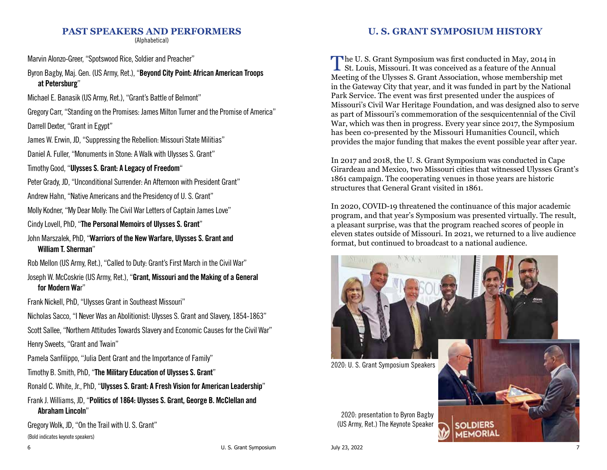## **PAST SPEAKERS AND PERFORMERS**

(Alphabetical)

Marvin Alonzo-Greer, "Spotswood Rice, Soldier and Preacher"

Byron Bagby, Maj. Gen. (US Army, Ret.), "Beyond City Point: African American Troops at Petersburg"

Michael E. Banasik (US Army, Ret.), "Grant's Battle of Belmont"

Gregory Carr, "Standing on the Promises: James Milton Turner and the Promise of America"

Darrell Dexter, "Grant in Egypt"

James W. Erwin, JD, "Suppressing the Rebellion: Missouri State Militias"

Daniel A. Fuller, "Monuments in Stone: A Walk with Ulysses S. Grant"

Timothy Good, "Ulysses S. Grant: A Legacy of Freedom"

Peter Grady, JD, "Unconditional Surrender: An Afternoon with President Grant"

Andrew Hahn, "Native Americans and the Presidency of U. S. Grant"

Molly Kodner, "My Dear Molly: The Civil War Letters of Captain James Love"

Cindy Lovell, PhD, "The Personal Memoirs of Ulysses S. Grant"

John Marszalek, PhD, "Warriors of the New Warfare, Ulysses S. Grant and William T. Sherman"

Rob Mellon (US Army, Ret.), "Called to Duty: Grant's First March in the Civil War"

Joseph W. McCoskrie (US Army, Ret.), "Grant, Missouri and the Making of a General for Modern War"

Frank Nickell, PhD, "Ulysses Grant in Southeast Missouri"

Nicholas Sacco, "I Never Was an Abolitionist: Ulysses S. Grant and Slavery, 1854-1863"

Scott Sallee, "Northern Attitudes Towards Slavery and Economic Causes for the Civil War" Henry Sweets, "Grant and Twain"

Pamela Sanfilippo, "Julia Dent Grant and the Importance of Family"

Timothy B. Smith, PhD, "The Military Education of Ulysses S. Grant"

Ronald C. White, Jr., PhD, "Ulysses S. Grant: A Fresh Vision for American Leadership"

## Frank J. Williams, JD, "Politics of 1864: Ulysses S. Grant, George B. McClellan and Abraham Lincoln"

Gregory Wolk, JD, "On the Trail with U. S. Grant"

(Bold indicates keynote speakers)

## **U. S. GRANT SYMPOSIUM HISTORY**

The U. S. Grant Symposium was first conducted in May, 2014 in St. Louis, Missouri. It was conceived as a feature of the Annual Meeting of the Ulysses S. Grant Association, whose membership met in the Gateway City that year, and it was funded in part by the National Park Service. The event was first presented under the auspices of Missouri's Civil War Heritage Foundation, and was designed also to serve as part of Missouri's commemoration of the sesquicentennial of the Civil War, which was then in progress. Every year since 2017, the Symposium has been co-presented by the Missouri Humanities Council, which provides the major funding that makes the event possible year after year.

In 2017 and 2018, the U. S. Grant Symposium was conducted in Cape Girardeau and Mexico, two Missouri cities that witnessed Ulysses Grant's 1861 campaign. The cooperating venues in those years are historic structures that General Grant visited in 1861.

In 2020, COVID-19 threatened the continuance of this major academic program, and that year's Symposium was presented virtually. The result, a pleasant surprise, was that the program reached scores of people in eleven states outside of Missouri. In 2021, we returned to a live audience format, but continued to broadcast to a national audience.